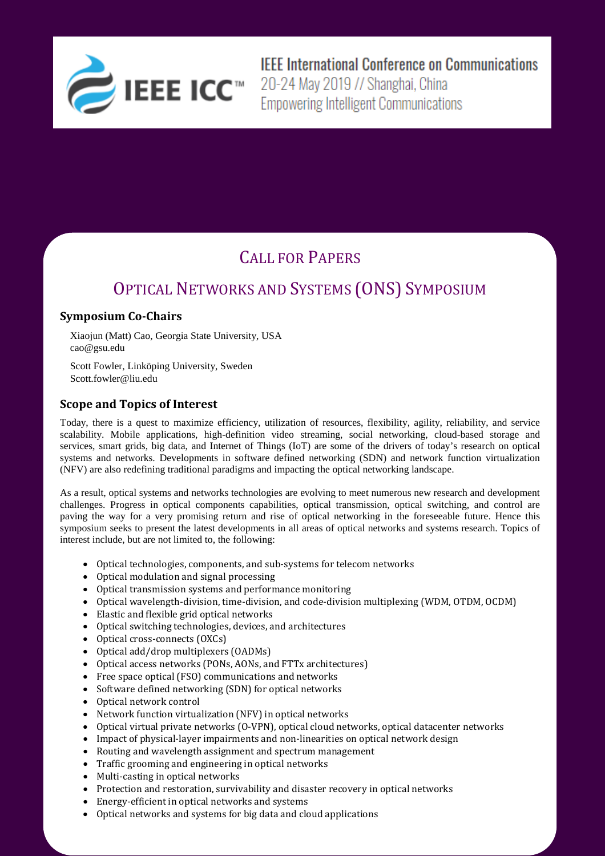

**IEEE International Conference on Communications** 

## CALL FOR PAPERS

# OPTICAL NETWORKS AND SYSTEMS (ONS) SYMPOSIUM

## **Symposium Co-Chairs**

Xiaojun (Matt) Cao, Georgia State University, USA cao@gsu.edu

Scott Fowler, Linköping University, Sweden Scott.fowler@liu.edu

### **Scope and Topics of Interest**

Today, there is a quest to maximize efficiency, utilization of resources, flexibility, agility, reliability, and service scalability. Mobile applications, high-definition video streaming, social networking, cloud-based storage and services, smart grids, big data, and Internet of Things (IoT) are some of the drivers of today's research on optical systems and networks. Developments in software defined networking (SDN) and network function virtualization (NFV) are also redefining traditional paradigms and impacting the optical networking landscape.

As a result, optical systems and networks technologies are evolving to meet numerous new research and development challenges. Progress in optical components capabilities, optical transmission, optical switching, and control are paving the way for a very promising return and rise of optical networking in the foreseeable future. Hence this symposium seeks to present the latest developments in all areas of optical networks and systems research. Topics of interest include, but are not limited to, the following:

- Optical technologies, components, and sub-systems for telecom networks
- Optical modulation and signal processing
- Optical transmission systems and performance monitoring
- Optical wavelength-division, time-division, and code-division multiplexing (WDM, OTDM, OCDM)
- Elastic and flexible grid optical networks
- Optical switching technologies, devices, and architectures
- Optical cross-connects (OXCs)
- Optical add/drop multiplexers (OADMs)
- Optical access networks (PONs, AONs, and FTTx architectures)
- Free space optical (FSO) communications and networks
- Software defined networking (SDN) for optical networks
- Optical network control
- Network function virtualization (NFV) in optical networks
- Optical virtual private networks (O-VPN), optical cloud networks, optical datacenter networks
- Impact of physical-layer impairments and non-linearities on optical network design
- Routing and wavelength assignment and spectrum management
- Traffic grooming and engineering in optical networks
- Multi-casting in optical networks
- Protection and restoration, survivability and disaster recovery in optical networks
- Energy-efficient in optical networks and systems
- Optical networks and systems for big data and cloud applications